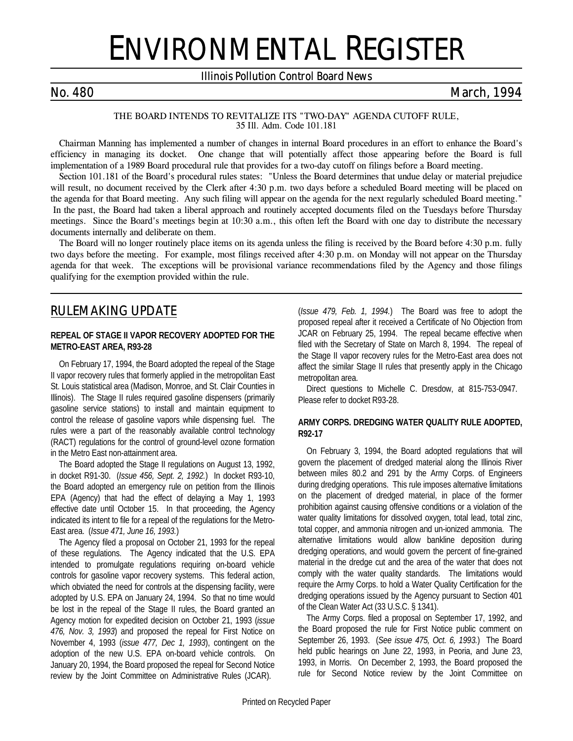# ENVIRONMENTAL REGISTER

## *Illinois Pollution Control Board News*

# *No. 480 March, 1994*

*THE BOARD INTENDS TO REVITALIZE ITS "TWO-DAY" AGENDA CUTOFF RULE, 35 Ill. Adm. Code 101.181*

Chairman Manning has implemented a number of changes in internal Board procedures in an effort to enhance the Board's efficiency in managing its docket. One change that will potentially affect those appearing before the Board is full implementation of a 1989 Board procedural rule that provides for a two-day cutoff on filings before a Board meeting.

Section 101.181 of the Board's procedural rules states: "Unless the Board determines that undue delay or material prejudice will result, no document received by the Clerk after 4:30 p.m. two days before a scheduled Board meeting will be placed on the agenda for that Board meeting. Any such filing will appear on the agenda for the next regularly scheduled Board meeting." In the past, the Board had taken a liberal approach and routinely accepted documents filed on the Tuesdays before Thursday meetings. Since the Board's meetings begin at 10:30 a.m., this often left the Board with one day to distribute the necessary documents internally and deliberate on them.

The Board will no longer routinely place items on its agenda unless the filing is received by the Board before 4:30 p.m. fully two days before the meeting. For example, most filings received after 4:30 p.m. on Monday will not appear on the Thursday agenda for that week. The exceptions will be provisional variance recommendations filed by the Agency and those filings qualifying for the exemption provided within the rule.

# *RULEMAKING UPDATE*

#### **REPEAL OF STAGE II VAPOR RECOVERY ADOPTED FOR THE METRO-EAST AREA, R93-28**

On February 17, 1994, the Board adopted the repeal of the Stage II vapor recovery rules that formerly applied in the metropolitan East St. Louis statistical area (Madison, Monroe, and St. Clair Counties in Illinois). The Stage II rules required gasoline dispensers (primarily gasoline service stations) to install and maintain equipment to control the release of gasoline vapors while dispensing fuel. The rules were a part of the reasonably available control technology (RACT) regulations for the control of ground-level ozone formation in the Metro East non-attainment area.

The Board adopted the Stage II regulations on August 13, 1992, in docket R91-30. (*Issue 456, Sept. 2, 1992.*) In docket R93-10, the Board adopted an emergency rule on petition from the Illinois EPA (Agency) that had the effect of delaying a May 1, 1993 effective date until October 15. In that proceeding, the Agency indicated its intent to file for a repeal of the regulations for the Metro-East area. (*Issue 471, June 16, 1993.*)

The Agency filed a proposal on October 21, 1993 for the repeal of these regulations. The Agency indicated that the U.S. EPA intended to promulgate regulations requiring on-board vehicle controls for gasoline vapor recovery systems. This federal action, which obviated the need for controls at the dispensing facility, were adopted by U.S. EPA on January 24, 1994. So that no time would be lost in the repeal of the Stage II rules, the Board granted an Agency motion for expedited decision on October 21, 1993 (*issue 476, Nov. 3, 1993*) and proposed the repeal for First Notice on November 4, 1993 (*issue 477, Dec 1, 1993*), contingent on the adoption of the new U.S. EPA on-board vehicle controls. On January 20, 1994, the Board proposed the repeal for Second Notice review by the Joint Committee on Administrative Rules (JCAR).

(*Issue 479, Feb. 1, 1994.*) The Board was free to adopt the proposed repeal after it received a Certificate of No Objection from JCAR on February 25, 1994. The repeal became effective when filed with the Secretary of State on March 8, 1994. The repeal of the Stage II vapor recovery rules for the Metro-East area does not affect the similar Stage II rules that presently apply in the Chicago metropolitan area.

Direct questions to Michelle C. Dresdow, at 815-753-0947. Please refer to docket R93-28.

### **ARMY CORPS. DREDGING WATER QUALITY RULE ADOPTED, R92-17**

On February 3, 1994, the Board adopted regulations that will govern the placement of dredged material along the Illinois River between miles 80.2 and 291 by the Army Corps. of Engineers during dredging operations. This rule imposes alternative limitations on the placement of dredged material, in place of the former prohibition against causing offensive conditions or a violation of the water quality limitations for dissolved oxygen, total lead, total zinc, total copper, and ammonia nitrogen and un-ionized ammonia. The alternative limitations would allow bankline deposition during dredging operations, and would govern the percent of fine-grained material in the dredge cut and the area of the water that does not comply with the water quality standards. The limitations would require the Army Corps. to hold a Water Quality Certification for the dredging operations issued by the Agency pursuant to Section 401 of the Clean Water Act (33 U.S.C. § 1341).

The Army Corps. filed a proposal on September 17, 1992, and the Board proposed the rule for First Notice public comment on September 26, 1993. (*See issue 475, Oct. 6, 1993.*) The Board held public hearings on June 22, 1993, in Peoria, and June 23, 1993, in Morris. On December 2, 1993, the Board proposed the rule for Second Notice review by the Joint Committee on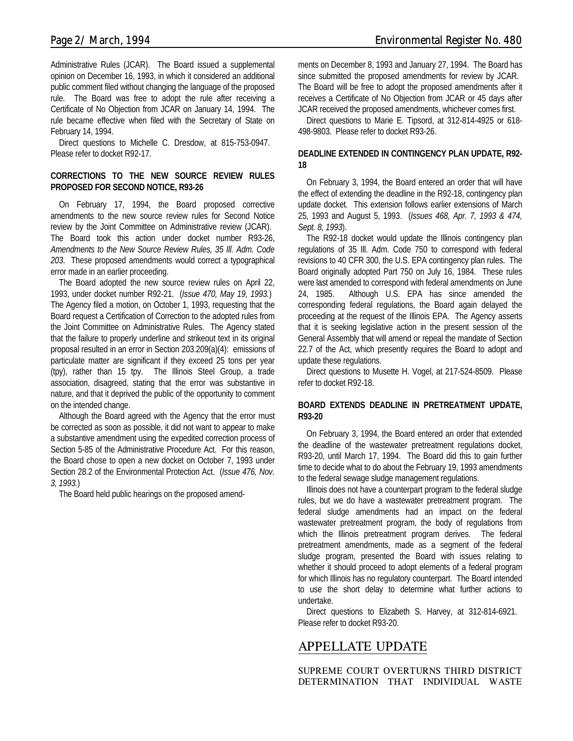Administrative Rules (JCAR). The Board issued a supplemental opinion on December 16, 1993, in which it considered an additional public comment filed without changing the language of the proposed rule. The Board was free to adopt the rule after receiving a Certificate of No Objection from JCAR on January 14, 1994. The rule became effective when filed with the Secretary of State on February 14, 1994.

Direct questions to Michelle C. Dresdow, at 815-753-0947. Please refer to docket R92-17.

### **CORRECTIONS TO THE NEW SOURCE REVIEW RULES PROPOSED FOR SECOND NOTICE, R93-26**

On February 17, 1994, the Board proposed corrective amendments to the new source review rules for Second Notice review by the Joint Committee on Administrative review (JCAR). The Board took this action under docket number R93-26, *Amendments to the New Source Review Rules, 35 Ill. Adm. Code 203*. These proposed amendments would correct a typographical error made in an earlier proceeding.

The Board adopted the new source review rules on April 22, 1993, under docket number R92-21. (*Issue 470, May 19, 1993.*) The Agency filed a motion, on October 1, 1993, requesting that the Board request a Certification of Correction to the adopted rules from the Joint Committee on Administrative Rules. The Agency stated that the failure to properly underline and strikeout text in its original proposal resulted in an error in Section 203.209(a)(4): emissions of particulate matter are significant if they exceed 25 tons per year (tpy), rather than 15 tpy. The Illinois Steel Group, a trade association, disagreed, stating that the error was substantive in nature, and that it deprived the public of the opportunity to comment on the intended change.

Although the Board agreed with the Agency that the error must be corrected as soon as possible, it did not want to appear to make a substantive amendment using the expedited correction process of Section 5-85 of the Administrative Procedure Act. For this reason, the Board chose to open a new docket on October 7, 1993 under Section 28.2 of the Environmental Protection Act. (*Issue 476, Nov. 3, 1993.*)

The Board held public hearings on the proposed amend-

ments on December 8, 1993 and January 27, 1994. The Board has since submitted the proposed amendments for review by JCAR. The Board will be free to adopt the proposed amendments after it receives a Certificate of No Objection from JCAR or 45 days after JCAR received the proposed amendments, whichever comes first.

Direct questions to Marie E. Tipsord, at 312-814-4925 or 618- 498-9803. Please refer to docket R93-26.

### **DEADLINE EXTENDED IN CONTINGENCY PLAN UPDATE, R92- 18**

On February 3, 1994, the Board entered an order that will have the effect of extending the deadline in the R92-18, contingency plan update docket. This extension follows earlier extensions of March 25, 1993 and August 5, 1993. (*Issues 468, Apr. 7, 1993 & 474, Sept. 8, 1993*).

The R92-18 docket would update the Illinois contingency plan regulations of 35 Ill. Adm. Code 750 to correspond with federal revisions to 40 CFR 300, the U.S. EPA contingency plan rules. The Board originally adopted Part 750 on July 16, 1984. These rules were last amended to correspond with federal amendments on June 24, 1985. Although U.S. EPA has since amended the corresponding federal regulations, the Board again delayed the proceeding at the request of the Illinois EPA. The Agency asserts that it is seeking legislative action in the present session of the General Assembly that will amend or repeal the mandate of Section 22.7 of the Act, which presently requires the Board to adopt and update these regulations.

Direct questions to Musette H. Vogel, at 217-524-8509. Please refer to docket R92-18.

### **BOARD EXTENDS DEADLINE IN PRETREATMENT UPDATE, R93-20**

On February 3, 1994, the Board entered an order that extended the deadline of the wastewater pretreatment regulations docket, R93-20, until March 17, 1994. The Board did this to gain further time to decide what to do about the February 19, 1993 amendments to the federal sewage sludge management regulations.

Illinois does not have a counterpart program to the federal sludge rules, but we do have a wastewater pretreatment program. The federal sludge amendments had an impact on the federal wastewater pretreatment program, the body of regulations from which the Illinois pretreatment program derives. The federal pretreatment amendments, made as a segment of the federal sludge program, presented the Board with issues relating to whether it should proceed to adopt elements of a federal program for which Illinois has no regulatory counterpart. The Board intended to use the short delay to determine what further actions to undertake.

Direct questions to Elizabeth S. Harvey, at 312-814-6921. Please refer to docket R93-20.

# *APPELLATE UPDATE*

**SUPREME COURT OVERTURNS THIRD DISTRICT DETERMINATION THAT INDIVIDUAL WASTE**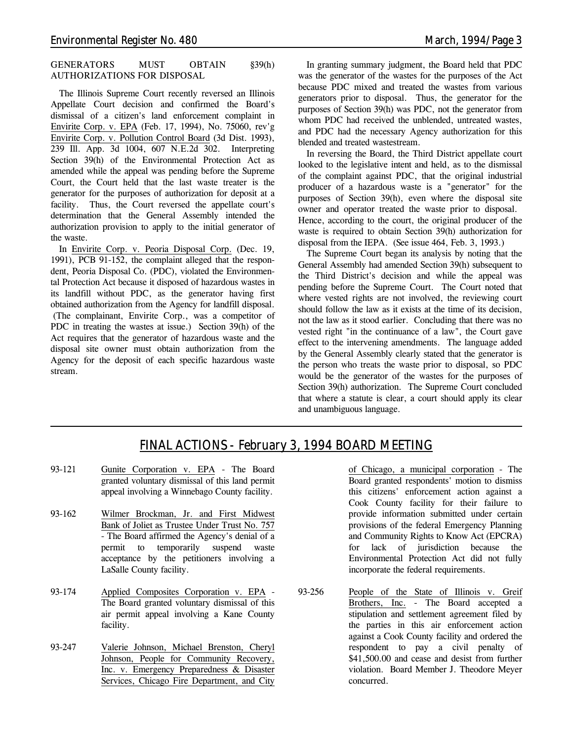#### **GENERATORS MUST OBTAIN §39(h) AUTHORIZATIONS FOR DISPOSAL**

The Illinois Supreme Court recently reversed an Illinois Appellate Court decision and confirmed the Board's dismissal of a citizen's land enforcement complaint in Envirite Corp. v. EPA (Feb. 17, 1994), No. 75060, rev'g Envirite Corp. v. Pollution Control Board (3d Dist. 1993), 239 Ill. App. 3d 1004, 607 N.E.2d 302. Interpreting Section 39(h) of the Environmental Protection Act as amended while the appeal was pending before the Supreme Court, the Court held that the last waste treater is the generator for the purposes of authorization for deposit at a facility. Thus, the Court reversed the appellate court's determination that the General Assembly intended the authorization provision to apply to the initial generator of the waste.

In Envirite Corp. v. Peoria Disposal Corp. (Dec. 19, 1991), PCB 91-152, the complaint alleged that the respondent, Peoria Disposal Co. (PDC), violated the Environmental Protection Act because it disposed of hazardous wastes in its landfill without PDC, as the generator having first obtained authorization from the Agency for landfill disposal. (The complainant, Envirite Corp., was a competitor of PDC in treating the wastes at issue.) Section 39(h) of the Act requires that the generator of hazardous waste and the disposal site owner must obtain authorization from the Agency for the deposit of each specific hazardous waste stream.

In granting summary judgment, the Board held that PDC was the generator of the wastes for the purposes of the Act because PDC mixed and treated the wastes from various generators prior to disposal. Thus, the generator for the purposes of Section 39(h) was PDC, not the generator from whom PDC had received the unblended, untreated wastes, and PDC had the necessary Agency authorization for this blended and treated wastestream.

In reversing the Board, the Third District appellate court looked to the legislative intent and held, as to the dismissal of the complaint against PDC, that the original industrial producer of a hazardous waste is a "generator" for the purposes of Section 39(h), even where the disposal site owner and operator treated the waste prior to disposal. Hence, according to the court, the original producer of the waste is required to obtain Section 39(h) authorization for disposal from the IEPA. (*See issue 464, Feb. 3, 1993.*)

The Supreme Court began its analysis by noting that the General Assembly had amended Section 39(h) subsequent to the Third District's decision and while the appeal was pending before the Supreme Court. The Court noted that where vested rights are not involved, the reviewing court should follow the law as it exists at the time of its decision, not the law as it stood earlier. Concluding that there was no vested right "in the continuance of a law", the Court gave effect to the intervening amendments. The language added by the General Assembly clearly stated that the generator is the person who treats the waste prior to disposal, so PDC would be the generator of the wastes for the purposes of Section 39(h) authorization. The Supreme Court concluded that where a statute is clear, a court should apply its clear and unambiguous language.

# *FINAL ACTIONS - February 3, 1994 BOARD MEETING*

- 93-121 Gunite Corporation v. EPA The Board granted voluntary dismissal of this land permit appeal involving a Winnebago County facility.
- 93-162 Wilmer Brockman, Jr. and First Midwest Bank of Joliet as Trustee Under Trust No. 757 - The Board affirmed the Agency's denial of a permit to temporarily suspend waste acceptance by the petitioners involving a LaSalle County facility.
- 93-174 Applied Composites Corporation v. EPA The Board granted voluntary dismissal of this air permit appeal involving a Kane County facility.
- 93-247 Valerie Johnson, Michael Brenston, Cheryl Johnson, People for Community Recovery, Inc. v. Emergency Preparedness & Disaster Services, Chicago Fire Department, and City

of Chicago, a municipal corporation - The Board granted respondents' motion to dismiss this citizens' enforcement action against a Cook County facility for their failure to provide information submitted under certain provisions of the federal Emergency Planning and Community Rights to Know Act (EPCRA) for lack of jurisdiction because the Environmental Protection Act did not fully incorporate the federal requirements.

93-256 People of the State of Illinois v. Greif Brothers, Inc. - The Board accepted a stipulation and settlement agreement filed by the parties in this air enforcement action against a Cook County facility and ordered the respondent to pay a civil penalty of \$41,500.00 and cease and desist from further violation. Board Member J. Theodore Meyer concurred.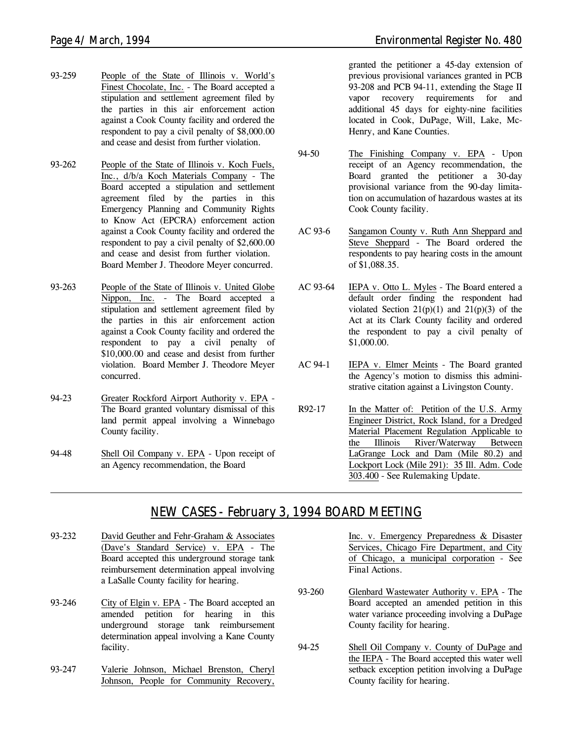- 93-259 People of the State of Illinois v. World's Finest Chocolate, Inc. - The Board accepted a stipulation and settlement agreement filed by the parties in this air enforcement action against a Cook County facility and ordered the respondent to pay a civil penalty of \$8,000.00 and cease and desist from further violation.
- 93-262 People of the State of Illinois v. Koch Fuels, Inc., d/b/a Koch Materials Company - The Board accepted a stipulation and settlement agreement filed by the parties in this Emergency Planning and Community Rights to Know Act (EPCRA) enforcement action against a Cook County facility and ordered the respondent to pay a civil penalty of \$2,600.00 and cease and desist from further violation. Board Member J. Theodore Meyer concurred.
- 93-263 People of the State of Illinois v. United Globe Nippon, Inc. - The Board accepted a stipulation and settlement agreement filed by the parties in this air enforcement action against a Cook County facility and ordered the respondent to pay a civil penalty of \$10,000.00 and cease and desist from further violation. Board Member J. Theodore Meyer concurred.
- 94-23 Greater Rockford Airport Authority v. EPA The Board granted voluntary dismissal of this land permit appeal involving a Winnebago County facility.
- 94-48 Shell Oil Company v. EPA Upon receipt of an Agency recommendation, the Board

granted the petitioner a 45-day extension of previous provisional variances granted in PCB 93-208 and PCB 94-11, extending the Stage II vapor recovery requirements for and additional 45 days for eighty-nine facilities located in Cook, DuPage, Will, Lake, Mc-Henry, and Kane Counties.

- 94-50 The Finishing Company v. EPA Upon receipt of an Agency recommendation, the Board granted the petitioner a 30-day provisional variance from the 90-day limitation on accumulation of hazardous wastes at its Cook County facility.
- AC 93-6 Sangamon County v. Ruth Ann Sheppard and Steve Sheppard - The Board ordered the respondents to pay hearing costs in the amount of \$1,088.35.
- AC 93-64 IEPA v. Otto L. Myles The Board entered a default order finding the respondent had violated Section  $21(p)(1)$  and  $21(p)(3)$  of the Act at its Clark County facility and ordered the respondent to pay a civil penalty of \$1,000.00.
- AC 94-1 IEPA v. Elmer Meints The Board granted the Agency's motion to dismiss this administrative citation against a Livingston County.
- R92-17 In the Matter of: Petition of the U.S. Army Engineer District, Rock Island, for a Dredged Material Placement Regulation Applicable to the Illinois River/Waterway Between LaGrange Lock and Dam (Mile 80.2) and Lockport Lock (Mile 291): 35 Ill. Adm. Code 303.400 - *See Rulemaking Update.*

# *NEW CASES - February 3, 1994 BOARD MEETING*

- 93-232 David Geuther and Fehr-Graham & Associates (Dave's Standard Service) v. EPA - The Board accepted this underground storage tank reimbursement determination appeal involving a LaSalle County facility for hearing.
- 93-246 City of Elgin v. EPA The Board accepted an amended petition for hearing in this underground storage tank reimbursement determination appeal involving a Kane County facility.
- 93-247 Valerie Johnson, Michael Brenston, Cheryl Johnson, People for Community Recovery,

Inc. v. Emergency Preparedness & Disaster Services, Chicago Fire Department, and City of Chicago, a municipal corporation - *See Final Actions.*

- 93-260 Glenbard Wastewater Authority v. EPA The Board accepted an amended petition in this water variance proceeding involving a DuPage County facility for hearing.
- 94-25 Shell Oil Company v. County of DuPage and the IEPA - The Board accepted this water well setback exception petition involving a DuPage County facility for hearing.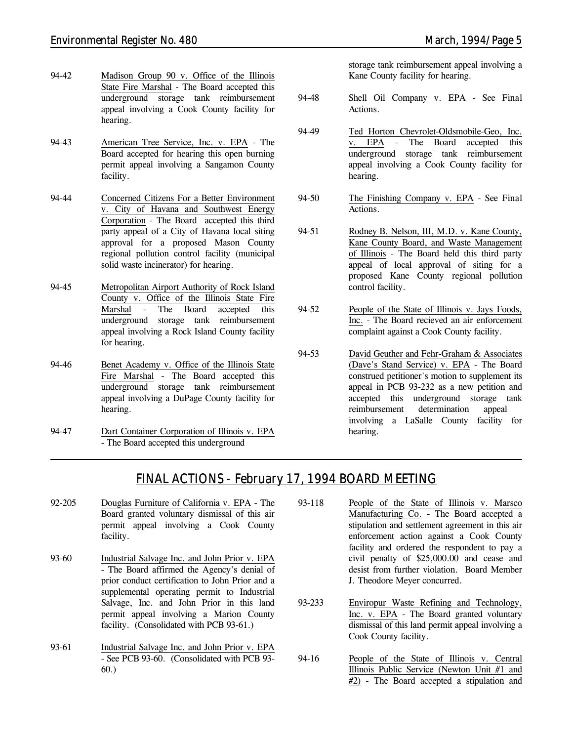- 94-42 Madison Group 90 v. Office of the Illinois State Fire Marshal - The Board accepted this underground storage tank reimbursement appeal involving a Cook County facility for hearing.
- 94-43 American Tree Service, Inc. v. EPA The Board accepted for hearing this open burning permit appeal involving a Sangamon County facility.
- 94-44 Concerned Citizens For a Better Environment v. City of Havana and Southwest Energy Corporation - The Board accepted this third party appeal of a City of Havana local siting approval for a proposed Mason County regional pollution control facility (municipal solid waste incinerator) for hearing.
- 94-45 Metropolitan Airport Authority of Rock Island County v. Office of the Illinois State Fire Marshal - The Board accepted this underground storage tank reimbursement appeal involving a Rock Island County facility for hearing.
- 94-46 Benet Academy v. Office of the Illinois State Fire Marshal - The Board accepted this underground storage tank reimbursement appeal involving a DuPage County facility for hearing.
- 94-47 Dart Container Corporation of Illinois v. EPA - The Board accepted this underground

storage tank reimbursement appeal involving a Kane County facility for hearing.

- 94-48 Shell Oil Company v. EPA *See Final Actions.*
- 94-49 Ted Horton Chevrolet-Oldsmobile-Geo, Inc. v. EPA - The Board accepted this underground storage tank reimbursement appeal involving a Cook County facility for hearing.
- 94-50 The Finishing Company v. EPA *See Final Actions.*
- 94-51 Rodney B. Nelson, III, M.D. v. Kane County, Kane County Board, and Waste Management of Illinois - The Board held this third party appeal of local approval of siting for a proposed Kane County regional pollution control facility.
- 94-52 People of the State of Illinois v. Jays Foods, Inc. - The Board recieved an air enforcement complaint against a Cook County facility.
- 94-53 David Geuther and Fehr-Graham & Associates (Dave's Stand Service) v. EPA - The Board construed petitioner's motion to supplement its appeal in PCB 93-232 as a new petition and accepted this underground storage tank reimbursement determination appeal involving a LaSalle County facility for hearing.

# *FINAL ACTIONS - February 17, 1994 BOARD MEETING*

- 92-205 Douglas Furniture of California v. EPA The Board granted voluntary dismissal of this air permit appeal involving a Cook County facility.
- 93-60 Industrial Salvage Inc. and John Prior v. EPA - The Board affirmed the Agency's denial of prior conduct certification to John Prior and a supplemental operating permit to Industrial Salvage, Inc. and John Prior in this land permit appeal involving a Marion County facility. (Consolidated with PCB 93-61.)
- 93-61 Industrial Salvage Inc. and John Prior v. EPA - *See PCB 93-60.* (Consolidated with PCB 93- 60.)
- 93-118 People of the State of Illinois v. Marsco Manufacturing Co. - The Board accepted a stipulation and settlement agreement in this air enforcement action against a Cook County facility and ordered the respondent to pay a civil penalty of \$25,000.00 and cease and desist from further violation. Board Member J. Theodore Meyer concurred.
- 93-233 Enviropur Waste Refining and Technology, Inc. v. EPA - The Board granted voluntary dismissal of this land permit appeal involving a Cook County facility.
- 94-16 People of the State of Illinois v. Central Illinois Public Service (Newton Unit #1 and #2) - The Board accepted a stipulation and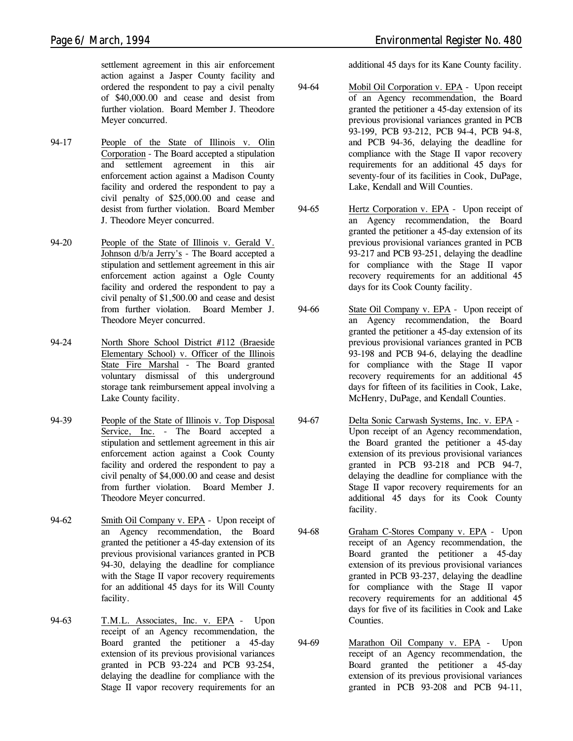settlement agreement in this air enforcement action against a Jasper County facility and ordered the respondent to pay a civil penalty of \$40,000.00 and cease and desist from further violation. Board Member J. Theodore Meyer concurred.

- 94-17 People of the State of Illinois v. Olin Corporation - The Board accepted a stipulation and settlement agreement in this air enforcement action against a Madison County facility and ordered the respondent to pay a civil penalty of \$25,000.00 and cease and desist from further violation. Board Member J. Theodore Meyer concurred.
- 94-20 People of the State of Illinois v. Gerald V. Johnson d/b/a Jerry's - The Board accepted a stipulation and settlement agreement in this air enforcement action against a Ogle County facility and ordered the respondent to pay a civil penalty of \$1,500.00 and cease and desist from further violation. Board Member J. Theodore Meyer concurred.
- 94-24 North Shore School District #112 (Braeside Elementary School) v. Officer of the Illinois State Fire Marshal - The Board granted voluntary dismissal of this underground storage tank reimbursement appeal involving a Lake County facility.
- 94-39 People of the State of Illinois v. Top Disposal Service, Inc. - The Board accepted a stipulation and settlement agreement in this air enforcement action against a Cook County facility and ordered the respondent to pay a civil penalty of \$4,000.00 and cease and desist from further violation. Board Member J. Theodore Meyer concurred.
- 94-62 Smith Oil Company v. EPA Upon receipt of an Agency recommendation, the Board granted the petitioner a 45-day extension of its previous provisional variances granted in PCB 94-30, delaying the deadline for compliance with the Stage II vapor recovery requirements for an additional 45 days for its Will County facility.
- 94-63 T.M.L. Associates, Inc. v. EPA Upon receipt of an Agency recommendation, the Board granted the petitioner a 45-day extension of its previous provisional variances granted in PCB 93-224 and PCB 93-254, delaying the deadline for compliance with the Stage II vapor recovery requirements for an

additional 45 days for its Kane County facility.

- 94-64 Mobil Oil Corporation v. EPA Upon receipt of an Agency recommendation, the Board granted the petitioner a 45-day extension of its previous provisional variances granted in PCB 93-199, PCB 93-212, PCB 94-4, PCB 94-8, and PCB 94-36, delaying the deadline for compliance with the Stage II vapor recovery requirements for an additional 45 days for seventy-four of its facilities in Cook, DuPage, Lake, Kendall and Will Counties.
- 94-65 Hertz Corporation v. EPA Upon receipt of an Agency recommendation, the Board granted the petitioner a 45-day extension of its previous provisional variances granted in PCB 93-217 and PCB 93-251, delaying the deadline for compliance with the Stage II vapor recovery requirements for an additional 45 days for its Cook County facility.
- 94-66 State Oil Company v. EPA Upon receipt of an Agency recommendation, the Board granted the petitioner a 45-day extension of its previous provisional variances granted in PCB 93-198 and PCB 94-6, delaying the deadline for compliance with the Stage II vapor recovery requirements for an additional 45 days for fifteen of its facilities in Cook, Lake, McHenry, DuPage, and Kendall Counties.
- 94-67 Delta Sonic Carwash Systems, Inc. v. EPA Upon receipt of an Agency recommendation, the Board granted the petitioner a 45-day extension of its previous provisional variances granted in PCB 93-218 and PCB 94-7, delaying the deadline for compliance with the Stage II vapor recovery requirements for an additional 45 days for its Cook County facility.
- 94-68 Graham C-Stores Company v. EPA Upon receipt of an Agency recommendation, the Board granted the petitioner a 45-day extension of its previous provisional variances granted in PCB 93-237, delaying the deadline for compliance with the Stage II vapor recovery requirements for an additional 45 days for five of its facilities in Cook and Lake Counties.
- 94-69 Marathon Oil Company v. EPA Upon receipt of an Agency recommendation, the Board granted the petitioner a 45-day extension of its previous provisional variances granted in PCB 93-208 and PCB 94-11,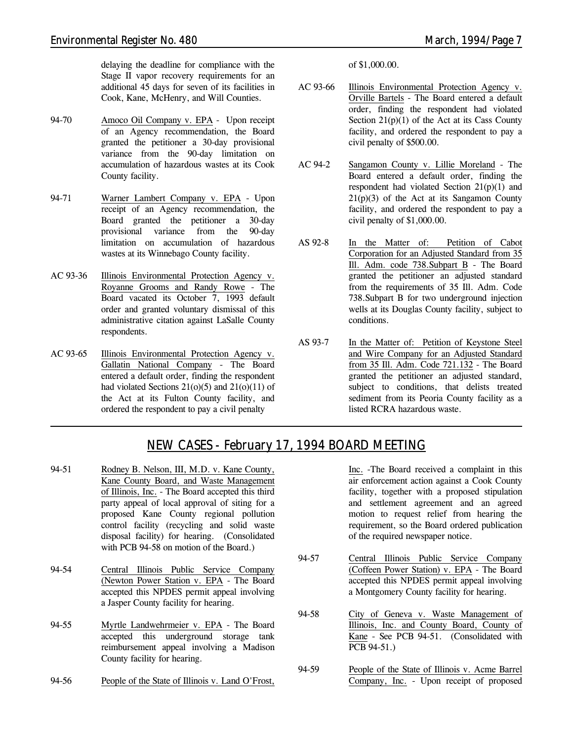delaying the deadline for compliance with the Stage II vapor recovery requirements for an additional 45 days for seven of its facilities in Cook, Kane, McHenry, and Will Counties.

- 94-70 Amoco Oil Company v. EPA Upon receipt of an Agency recommendation, the Board granted the petitioner a 30-day provisional variance from the 90-day limitation on accumulation of hazardous wastes at its Cook County facility.
- 94-71 Warner Lambert Company v. EPA Upon receipt of an Agency recommendation, the Board granted the petitioner a 30-day provisional variance from the 90-day limitation on accumulation of hazardous wastes at its Winnebago County facility.
- AC 93-36 Illinois Environmental Protection Agency v. Royanne Grooms and Randy Rowe - The Board vacated its October 7, 1993 default order and granted voluntary dismissal of this administrative citation against LaSalle County respondents.
- AC 93-65 Illinois Environmental Protection Agency v. Gallatin National Company - The Board entered a default order, finding the respondent had violated Sections  $21(0)(5)$  and  $21(0)(11)$  of the Act at its Fulton County facility, and ordered the respondent to pay a civil penalty

of \$1,000.00.

- AC 93-66 Illinois Environmental Protection Agency v. Orville Bartels - The Board entered a default order, finding the respondent had violated Section  $21(p)(1)$  of the Act at its Cass County facility, and ordered the respondent to pay a civil penalty of \$500.00.
- AC 94-2 Sangamon County v. Lillie Moreland The Board entered a default order, finding the respondent had violated Section 21(p)(1) and  $21(p)(3)$  of the Act at its Sangamon County facility, and ordered the respondent to pay a civil penalty of \$1,000.00.
- AS 92-8 In the Matter of: Petition of Cabot Corporation for an Adjusted Standard from 35 Ill. Adm. code 738.Subpart B - The Board granted the petitioner an adjusted standard from the requirements of 35 Ill. Adm. Code 738.Subpart B for two underground injection wells at its Douglas County facility, subject to conditions.
- AS 93-7 In the Matter of: Petition of Keystone Steel and Wire Company for an Adjusted Standard from 35 Ill. Adm. Code 721.132 - The Board granted the petitioner an adjusted standard, subject to conditions, that delists treated sediment from its Peoria County facility as a listed RCRA hazardous waste.

# *NEW CASES - February 17, 1994 BOARD MEETING*

- 94-51 Rodney B. Nelson, III, M.D. v. Kane County, Kane County Board, and Waste Management of Illinois, Inc. - The Board accepted this third party appeal of local approval of siting for a proposed Kane County regional pollution control facility (recycling and solid waste disposal facility) for hearing. (Consolidated with PCB 94-58 on motion of the Board.)
- 94-54 Central Illinois Public Service Company (Newton Power Station v. EPA - The Board accepted this NPDES permit appeal involving a Jasper County facility for hearing.
- 94-55 Myrtle Landwehrmeier v. EPA The Board accepted this underground storage tank reimbursement appeal involving a Madison County facility for hearing.
- 94-56 People of the State of Illinois v. Land O'Frost,

Inc. -The Board received a complaint in this air enforcement action against a Cook County facility, together with a proposed stipulation and settlement agreement and an agreed motion to request relief from hearing the requirement, so the Board ordered publication of the required newspaper notice.

- 94-57 Central Illinois Public Service Company (Coffeen Power Station) v. EPA - The Board accepted this NPDES permit appeal involving a Montgomery County facility for hearing.
- 94-58 City of Geneva v. Waste Management of Illinois, Inc. and County Board, County of Kane - *See PCB 94-51.* (Consolidated with PCB 94-51.)
- 94-59 People of the State of Illinois v. Acme Barrel Company, Inc. - Upon receipt of proposed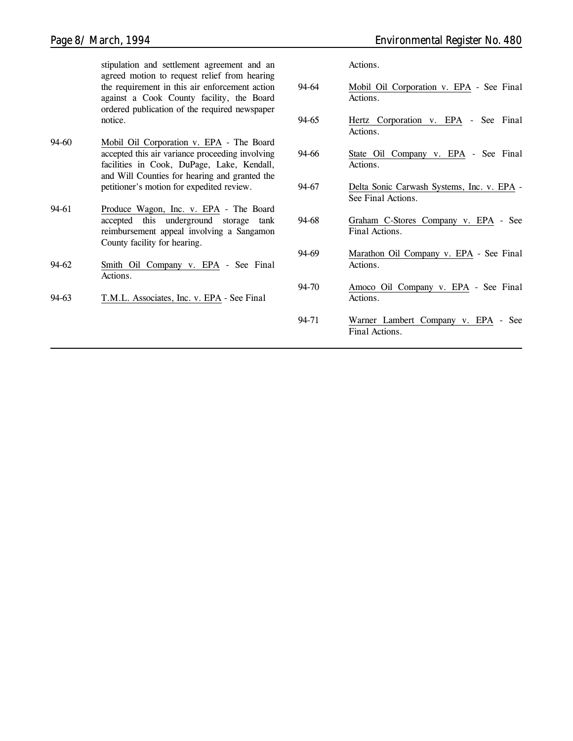stipulation and settlement agreement and an agreed motion to request relief from hearing the requirement in this air enforcement action against a Cook County facility, the Board ordered publication of the required newspaper notice.

- 94-60 Mobil Oil Corporation v. EPA The Board accepted this air variance proceeding involving facilities in Cook, DuPage, Lake, Kendall, and Will Counties for hearing and granted the petitioner's motion for expedited review.
- 94-61 Produce Wagon, Inc. v. EPA The Board accepted this underground storage tank reimbursement appeal involving a Sangamon County facility for hearing.
- 94-62 Smith Oil Company v. EPA *See Final Actions.*
- 94-63 T.M.L. Associates, Inc. v. EPA *See Final*

*Actions.*

- 94-64 Mobil Oil Corporation v. EPA *See Final Actions.*
- 94-65 Hertz Corporation v. EPA *See Final Actions.*
- 94-66 State Oil Company v. EPA *See Final Actions.*
- 94-67 Delta Sonic Carwash Systems, Inc. v. EPA *See Final Actions.*
- 94-68 Graham C-Stores Company v. EPA *See Final Actions.*
- 94-69 Marathon Oil Company v. EPA *See Final Actions.*
- 94-70 Amoco Oil Company v. EPA *See Final Actions.*
- 94-71 Warner Lambert Company v. EPA *See Final Actions.*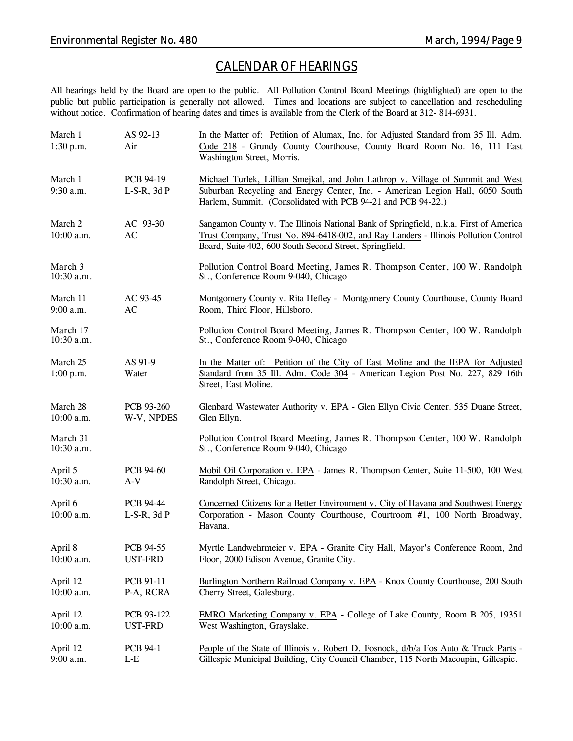# *CALENDAR OF HEARINGS*

All hearings held by the Board are open to the public. All Pollution Control Board Meetings (highlighted) are open to the public but public participation is generally not allowed. Times and locations are subject to cancellation and rescheduling without notice. Confirmation of hearing dates and times is available from the Clerk of the Board at 312-814-6931.

| March 1<br>1:30 p.m.     | AS 92-13<br>Air                      | In the Matter of: Petition of Alumax, Inc. for Adjusted Standard from 35 Ill. Adm.<br>Code 218 - Grundy County Courthouse, County Board Room No. 16, 111 East<br>Washington Street, Morris.                                             |  |
|--------------------------|--------------------------------------|-----------------------------------------------------------------------------------------------------------------------------------------------------------------------------------------------------------------------------------------|--|
| March 1<br>$9:30$ a.m.   | PCB 94-19<br>$L-S-R$ , 3d $P$        | Michael Turlek, Lillian Smejkal, and John Lathrop v. Village of Summit and West<br>Suburban Recycling and Energy Center, Inc. - American Legion Hall, 6050 South<br>Harlem, Summit. (Consolidated with PCB 94-21 and PCB 94-22.)        |  |
| March 2<br>$10:00$ a.m.  | AC 93-30<br>AC                       | Sangamon County v. The Illinois National Bank of Springfield, n.k.a. First of America<br>Trust Company, Trust No. 894-6418-002, and Ray Landers - Illinois Pollution Control<br>Board, Suite 402, 600 South Second Street, Springfield. |  |
| March 3<br>$10:30$ a.m.  |                                      | Pollution Control Board Meeting, James R. Thompson Center, 100 W. Randolph<br>St., Conference Room 9-040, Chicago                                                                                                                       |  |
| March 11<br>$9:00$ a.m.  | AC 93-45<br>AC                       | Montgomery County v. Rita Hefley - Montgomery County Courthouse, County Board<br>Room, Third Floor, Hillsboro.                                                                                                                          |  |
| March 17<br>$10:30$ a.m. |                                      | Pollution Control Board Meeting, James R. Thompson Center, 100 W. Randolph<br>St., Conference Room 9-040, Chicago                                                                                                                       |  |
| March 25<br>1:00 p.m.    | AS 91-9<br>Water                     | In the Matter of: Petition of the City of East Moline and the IEPA for Adjusted<br>Standard from 35 Ill. Adm. Code 304 - American Legion Post No. 227, 829 16th<br>Street, East Moline.                                                 |  |
| March 28<br>$10:00$ a.m. | PCB 93-260<br>W-V, NPDES             | Glenbard Wastewater Authority v. EPA - Glen Ellyn Civic Center, 535 Duane Street,<br>Glen Ellyn.                                                                                                                                        |  |
| March 31<br>10:30 a.m.   |                                      | Pollution Control Board Meeting, James R. Thompson Center, 100 W. Randolph<br>St., Conference Room 9-040, Chicago                                                                                                                       |  |
| April 5<br>10:30 a.m.    | <b>PCB 94-60</b><br>$A-V$            | Mobil Oil Corporation v. EPA - James R. Thompson Center, Suite 11-500, 100 West<br>Randolph Street, Chicago.                                                                                                                            |  |
| April 6<br>$10:00$ a.m.  | <b>PCB 94-44</b><br>$L-S-R$ , 3d $P$ | Concerned Citizens for a Better Environment v. City of Havana and Southwest Energy<br>Corporation - Mason County Courthouse, Courtroom #1, 100 North Broadway,<br>Havana.                                                               |  |
| April 8<br>10:00 a.m.    | PCB 94-55<br><b>UST-FRD</b>          | Myrtle Landwehrmeier v. EPA - Granite City Hall, Mayor's Conference Room, 2nd<br>Floor, 2000 Edison Avenue, Granite City.                                                                                                               |  |
| April 12<br>10:00 a.m.   | PCB 91-11<br>P-A, RCRA               | Burlington Northern Railroad Company v. EPA - Knox County Courthouse, 200 South<br>Cherry Street, Galesburg.                                                                                                                            |  |
| April 12<br>10:00 a.m.   | PCB 93-122<br>UST-FRD                | EMRO Marketing Company v. EPA - College of Lake County, Room B 205, 19351<br>West Washington, Grayslake.                                                                                                                                |  |
| April 12<br>9:00 a.m.    | <b>PCB 94-1</b><br>$L-E$             | People of the State of Illinois v. Robert D. Fosnock, d/b/a Fos Auto & Truck Parts -<br>Gillespie Municipal Building, City Council Chamber, 115 North Macoupin, Gillespie.                                                              |  |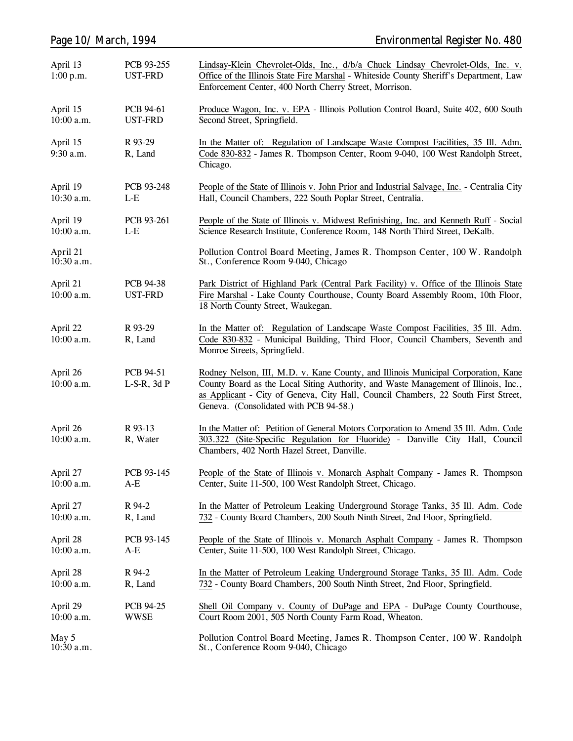| Page 10/ March, 1994     |                               | <b>Environmental Register No. 480</b>                                                                                                                                                                                                                                                                    |
|--------------------------|-------------------------------|----------------------------------------------------------------------------------------------------------------------------------------------------------------------------------------------------------------------------------------------------------------------------------------------------------|
| April 13<br>1:00 p.m.    | PCB 93-255<br><b>UST-FRD</b>  | Lindsay-Klein Chevrolet-Olds, Inc., d/b/a Chuck Lindsay Chevrolet-Olds, Inc. v.<br>Office of the Illinois State Fire Marshal - Whiteside County Sheriff's Department, Law<br>Enforcement Center, 400 North Cherry Street, Morrison.                                                                      |
| April 15<br>$10:00$ a.m. | PCB 94-61<br><b>UST-FRD</b>   | Produce Wagon, Inc. v. EPA - Illinois Pollution Control Board, Suite 402, 600 South<br>Second Street, Springfield.                                                                                                                                                                                       |
| April 15<br>$9:30$ a.m.  | R 93-29<br>R, Land            | In the Matter of: Regulation of Landscape Waste Compost Facilities, 35 Ill. Adm.<br>Code 830-832 - James R. Thompson Center, Room 9-040, 100 West Randolph Street,<br>Chicago.                                                                                                                           |
| April 19<br>$10:30$ a.m. | PCB 93-248<br>$L-E$           | People of the State of Illinois v. John Prior and Industrial Salvage, Inc. - Centralia City<br>Hall, Council Chambers, 222 South Poplar Street, Centralia.                                                                                                                                               |
| April 19<br>$10:00$ a.m. | PCB 93-261<br>$L-E$           | People of the State of Illinois v. Midwest Refinishing, Inc. and Kenneth Ruff - Social<br>Science Research Institute, Conference Room, 148 North Third Street, DeKalb.                                                                                                                                   |
| April 21<br>10:30 a.m.   |                               | Pollution Control Board Meeting, James R. Thompson Center, 100 W. Randolph<br>St., Conference Room 9-040, Chicago                                                                                                                                                                                        |
| April 21<br>$10:00$ a.m. | PCB 94-38<br><b>UST-FRD</b>   | Park District of Highland Park (Central Park Facility) v. Office of the Illinois State<br>Fire Marshal - Lake County Courthouse, County Board Assembly Room, 10th Floor,<br>18 North County Street, Waukegan.                                                                                            |
| April 22<br>$10:00$ a.m. | R 93-29<br>R, Land            | In the Matter of: Regulation of Landscape Waste Compost Facilities, 35 Ill. Adm.<br>Code 830-832 - Municipal Building, Third Floor, Council Chambers, Seventh and<br>Monroe Streets, Springfield.                                                                                                        |
| April 26<br>$10:00$ a.m. | PCB 94-51<br>$L-S-R$ , 3d $P$ | Rodney Nelson, III, M.D. v. Kane County, and Illinois Municipal Corporation, Kane<br>County Board as the Local Siting Authority, and Waste Management of Illinois, Inc.,<br>as Applicant - City of Geneva, City Hall, Council Chambers, 22 South First Street,<br>Geneva. (Consolidated with PCB 94-58.) |
| April 26<br>10:00 a.m.   | R 93-13<br>R, Water           | In the Matter of: Petition of General Motors Corporation to Amend 35 Ill. Adm. Code<br>303.322 (Site-Specific Regulation for Fluoride) - Danville City Hall, Council<br>Chambers, 402 North Hazel Street, Danville.                                                                                      |
| April 27<br>10:00 a.m.   | PCB 93-145<br>$A-E$           | People of the State of Illinois v. Monarch Asphalt Company - James R. Thompson<br>Center, Suite 11-500, 100 West Randolph Street, Chicago.                                                                                                                                                               |
| April 27<br>$10:00$ a.m. | R 94-2<br>R, Land             | In the Matter of Petroleum Leaking Underground Storage Tanks, 35 Ill. Adm. Code<br>732 - County Board Chambers, 200 South Ninth Street, 2nd Floor, Springfield.                                                                                                                                          |
| April 28<br>$10:00$ a.m. | PCB 93-145<br>$A-E$           | People of the State of Illinois v. Monarch Asphalt Company - James R. Thompson<br>Center, Suite 11-500, 100 West Randolph Street, Chicago.                                                                                                                                                               |
| April 28<br>$10:00$ a.m. | R 94-2<br>R, Land             | In the Matter of Petroleum Leaking Underground Storage Tanks, 35 Ill. Adm. Code<br>732 - County Board Chambers, 200 South Ninth Street, 2nd Floor, Springfield.                                                                                                                                          |
| April 29<br>$10:00$ a.m. | PCB 94-25<br><b>WWSE</b>      | Shell Oil Company v. County of DuPage and EPA - DuPage County Courthouse,<br>Court Room 2001, 505 North County Farm Road, Wheaton.                                                                                                                                                                       |
| May 5<br>10:30 a.m.      |                               | Pollution Control Board Meeting, James R. Thompson Center, 100 W. Randolph<br>St., Conference Room 9-040, Chicago                                                                                                                                                                                        |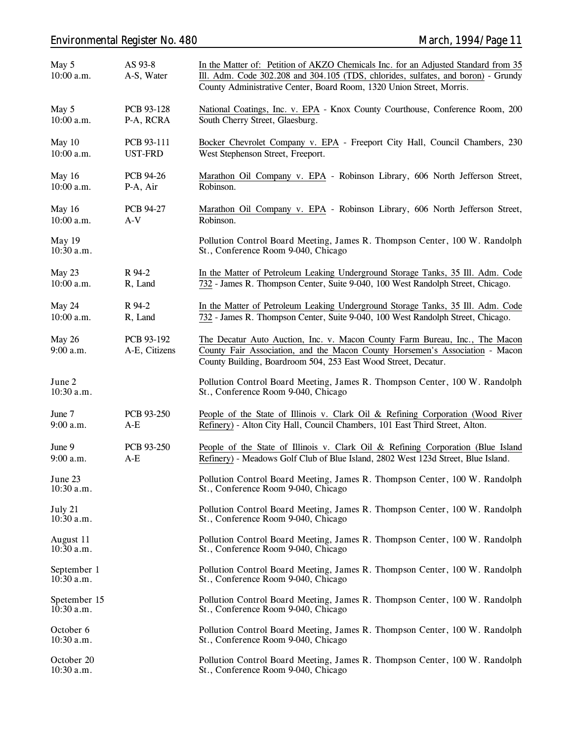# *Environmental Register No. 480 March, 1994/Page 11*

| May 5<br>10:00 a.m.          | AS 93-8<br>A-S, Water        | In the Matter of: Petition of AKZO Chemicals Inc. for an Adjusted Standard from 35<br>Ill. Adm. Code 302.208 and 304.105 (TDS, chlorides, sulfates, and boron) - Grundy<br>County Administrative Center, Board Room, 1320 Union Street, Morris. |
|------------------------------|------------------------------|-------------------------------------------------------------------------------------------------------------------------------------------------------------------------------------------------------------------------------------------------|
| May 5<br>$10:00$ a.m.        | PCB 93-128<br>P-A, RCRA      | National Coatings, Inc. v. EPA - Knox County Courthouse, Conference Room, 200<br>South Cherry Street, Glaesburg.                                                                                                                                |
| May 10<br>10:00 a.m.         | PCB 93-111<br><b>UST-FRD</b> | Bocker Chevrolet Company v. EPA - Freeport City Hall, Council Chambers, 230<br>West Stephenson Street, Freeport.                                                                                                                                |
| May 16<br>10:00 a.m.         | <b>PCB 94-26</b><br>P-A, Air | Marathon Oil Company v. EPA - Robinson Library, 606 North Jefferson Street,<br>Robinson.                                                                                                                                                        |
| May 16<br>10:00 a.m.         | PCB 94-27<br>$A-V$           | Marathon Oil Company v. EPA - Robinson Library, 606 North Jefferson Street,<br>Robinson.                                                                                                                                                        |
| May 19<br>10:30 a.m.         |                              | Pollution Control Board Meeting, James R. Thompson Center, 100 W. Randolph<br>St., Conference Room 9-040, Chicago                                                                                                                               |
| May 23<br>10:00 a.m.         | R 94-2<br>R, Land            | In the Matter of Petroleum Leaking Underground Storage Tanks, 35 Ill. Adm. Code<br>732 - James R. Thompson Center, Suite 9-040, 100 West Randolph Street, Chicago.                                                                              |
| May 24<br>$10:00$ a.m.       | R 94-2<br>R, Land            | In the Matter of Petroleum Leaking Underground Storage Tanks, 35 Ill. Adm. Code<br>732 - James R. Thompson Center, Suite 9-040, 100 West Randolph Street, Chicago.                                                                              |
| May 26<br>9:00 a.m.          | PCB 93-192<br>A-E, Citizens  | The Decatur Auto Auction, Inc. v. Macon County Farm Bureau, Inc., The Macon<br>County Fair Association, and the Macon County Horsemen's Association - Macon<br>County Building, Boardroom 504, 253 East Wood Street, Decatur.                   |
| June 2<br>10:30 a.m.         |                              | Pollution Control Board Meeting, James R. Thompson Center, 100 W. Randolph<br>St., Conference Room 9-040, Chicago                                                                                                                               |
| June 7<br>9:00 a.m.          | PCB 93-250<br>$A-E$          | People of the State of Illinois v. Clark Oil & Refining Corporation (Wood River<br>Refinery) - Alton City Hall, Council Chambers, 101 East Third Street, Alton.                                                                                 |
| June 9<br>9:00 a.m.          | PCB 93-250<br>$A-E$          | People of the State of Illinois v. Clark Oil & Refining Corporation (Blue Island<br>Refinery) - Meadows Golf Club of Blue Island, 2802 West 123d Street, Blue Island.                                                                           |
| June 23<br>$10:30$ a.m.      |                              | Pollution Control Board Meeting, James R. Thompson Center, 100 W. Randolph<br>St., Conference Room 9-040, Chicago                                                                                                                               |
| July 21<br>$10:30$ a.m.      |                              | Pollution Control Board Meeting, James R. Thompson Center, 100 W. Randolph<br>St., Conference Room 9-040, Chicago                                                                                                                               |
| August 11<br>$10:30$ a.m.    |                              | Pollution Control Board Meeting, James R. Thompson Center, 100 W. Randolph<br>St., Conference Room 9-040, Chicago                                                                                                                               |
| September 1<br>$10:30$ a.m.  |                              | Pollution Control Board Meeting, James R. Thompson Center, 100 W. Randolph<br>St., Conference Room 9-040, Chicago                                                                                                                               |
| Spetember 15<br>$10:30$ a.m. |                              | Pollution Control Board Meeting, James R. Thompson Center, 100 W. Randolph<br>St., Conference Room 9-040, Chicago                                                                                                                               |
| October 6<br>10:30 a.m.      |                              | Pollution Control Board Meeting, James R. Thompson Center, 100 W. Randolph<br>St., Conference Room 9-040, Chicago                                                                                                                               |
| October 20<br>10:30 a.m.     |                              | Pollution Control Board Meeting, James R. Thompson Center, 100 W. Randolph<br>St., Conference Room 9-040, Chicago                                                                                                                               |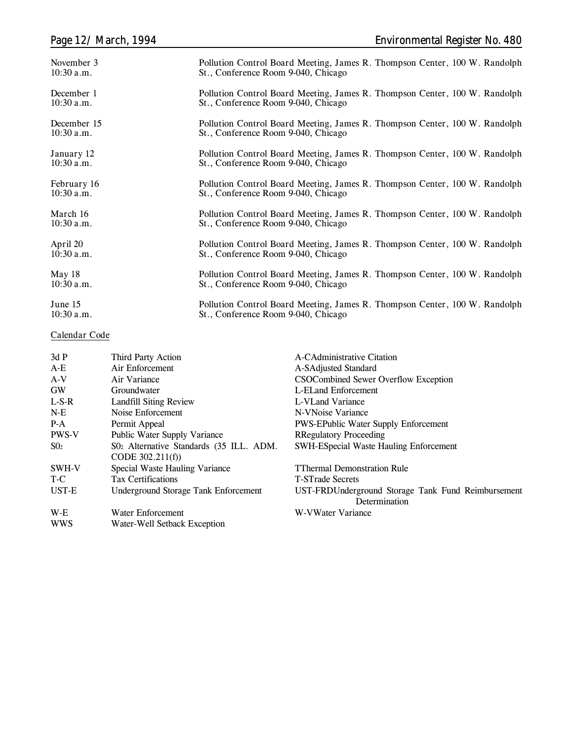| November 3   | Pollution Control Board Meeting, James R. Thompson Center, 100 W. Randolph |
|--------------|----------------------------------------------------------------------------|
| $10:30$ a.m. | St., Conference Room 9-040, Chicago                                        |
| December 1   | Pollution Control Board Meeting, James R. Thompson Center, 100 W. Randolph |
| $10:30$ a.m. | St., Conference Room 9-040, Chicago                                        |
| December 15  | Pollution Control Board Meeting, James R. Thompson Center, 100 W. Randolph |
| $10:30$ a.m. | St., Conference Room 9-040, Chicago                                        |
| January 12   | Pollution Control Board Meeting, James R. Thompson Center, 100 W. Randolph |
| $10:30$ a.m. | St., Conference Room 9-040, Chicago                                        |
| February 16  | Pollution Control Board Meeting, James R. Thompson Center, 100 W. Randolph |
| $10:30$ a.m. | St., Conference Room 9-040, Chicago                                        |
| March 16     | Pollution Control Board Meeting, James R. Thompson Center, 100 W. Randolph |
| $10:30$ a.m. | St., Conference Room 9-040, Chicago                                        |
| April 20     | Pollution Control Board Meeting, James R. Thompson Center, 100 W. Randolph |
| $10:30$ a.m. | St., Conference Room 9-040, Chicago                                        |
| May 18       | Pollution Control Board Meeting, James R. Thompson Center, 100 W. Randolph |
| $10:30$ a.m. | St., Conference Room 9-040, Chicago                                        |
| June 15      | Pollution Control Board Meeting, James R. Thompson Center, 100 W. Randolph |
| $10:30$ a.m. | St., Conference Room 9-040, Chicago                                        |

### **Calendar Code**

|                                         | A-CAdministrative Citation                         |
|-----------------------------------------|----------------------------------------------------|
|                                         |                                                    |
|                                         | A-SAdjusted Standard                               |
| Air Variance                            | CSOCombined Sewer Overflow Exception               |
| Groundwater                             | L-ELand Enforcement                                |
| <b>Landfill Siting Review</b>           | L-VLand Variance                                   |
| Noise Enforcement                       | N-VNoise Variance                                  |
| Permit Appeal                           | <b>PWS-EPublic Water Supply Enforcement</b>        |
| Public Water Supply Variance            | <b>RRegulatory Proceeding</b>                      |
| S02 Alternative Standards (35 ILL. ADM. | <b>SWH-ESpecial Waste Hauling Enforcement</b>      |
| CODE $302.211(f)$                       |                                                    |
| Special Waste Hauling Variance          | <b>TThermal Demonstration Rule</b>                 |
| <b>Tax Certifications</b>               | <b>T-STrade Secrets</b>                            |
| Underground Storage Tank Enforcement    | UST-FRDUnderground Storage Tank Fund Reimbursement |
|                                         | Determination                                      |
| Water Enforcement                       | W-VWater Variance                                  |
| Water-Well Setback Exception            |                                                    |
|                                         | Third Party Action<br>Air Enforcement              |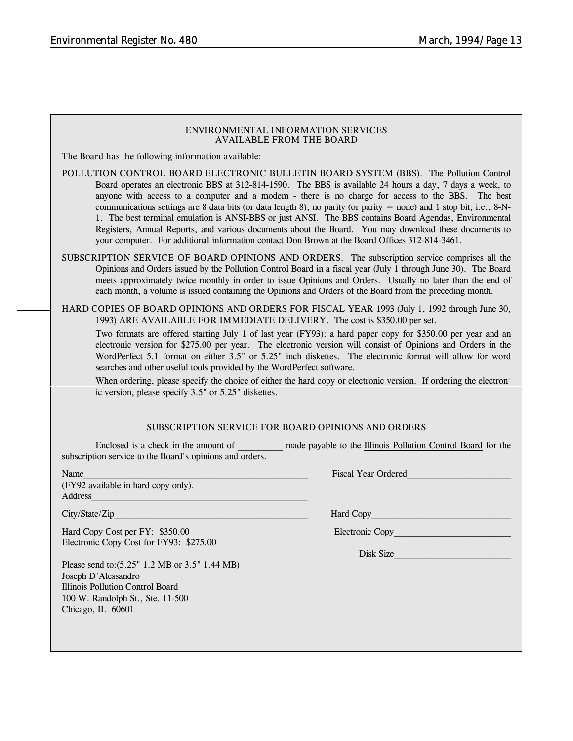#### **ENVIRONMENTAL INFORMATION SERVICES AVAILABLE FROM THE BOARD**

**The Board has the following information available:**

- **POLLUTION CONTROL BOARD ELECTRONIC BULLETIN BOARD SYSTEM (BBS).** The Pollution Control Board operates an electronic BBS at 312-814-1590. The BBS is available 24 hours a day, 7 days a week, to anyone with access to a computer and a modem - there is no charge for access to the BBS. The best communications settings are 8 data bits (or data length 8), no parity (or parity  $=$  none) and 1 stop bit, i.e., 8-N-1. The best terminal emulation is ANSI-BBS or just ANSI. The BBS contains Board Agendas, Environmental Registers, Annual Reports, and various documents about the Board. You may download these documents to your computer. For additional information contact Don Brown at the Board Offices 312-814-3461.
- **SUBSCRIPTION SERVICE OF BOARD OPINIONS AND ORDERS.** The subscription service comprises all the Opinions and Orders issued by the Pollution Control Board in a fiscal year (July 1 through June 30). The Board meets approximately twice monthly in order to issue Opinions and Orders. Usually no later than the end of each month, a volume is issued containing the Opinions and Orders of the Board from the preceding month.

**HARD COPIES OF BOARD OPINIONS AND ORDERS FOR FISCAL YEAR 1993** (July 1, 1992 through June 30, 1993) **ARE AVAILABLE FOR IMMEDIATE DELIVERY.** The cost is \$350.00 per set.

Two formats are offered starting July 1 of last year (FY93): a hard paper copy for \$350.00 per year and an electronic version for \$275.00 per year. The electronic version will consist of Opinions and Orders in the WordPerfect 5.1 format on either 3.5" or 5.25" inch diskettes. The electronic format will allow for word searches and other useful tools provided by the WordPerfect software.

When ordering, please specify the choice of either the hard copy or electronic version. If ordering the electronic version, please specify 3.5" or 5.25" diskettes.

#### **SUBSCRIPTION SERVICE FOR BOARD OPINIONS AND ORDERS**

Enclosed is a check in the amount of **and payable to the Illinois Pollution Control Board for the** subscription service to the Board's opinions and orders.

(FY92 available in hard copy only). Address\_\_\_\_\_\_\_\_\_\_\_\_\_\_\_\_\_\_\_\_\_\_\_\_\_\_\_\_\_\_\_\_\_\_\_\_\_\_\_\_\_\_\_\_\_\_\_\_

City/State/Zip **Hard Copy** 

Hard Copy Cost per FY: \$350.00 Electronic Copy Electronic Copy Cost for FY93: \$275.00

Please send to:(5.25" 1.2 MB or 3.5" 1.44 MB) Joseph D'Alessandro Illinois Pollution Control Board 100 W. Randolph St., Ste. 11-500 Chicago, IL 60601

Name The Contract of the Contract of the Contract of the Contract of the Contract of the Contract of the Contract of the Contract of the Contract of the Contract of the Contract of the Contract of the Contract of the Contr

Disk Size